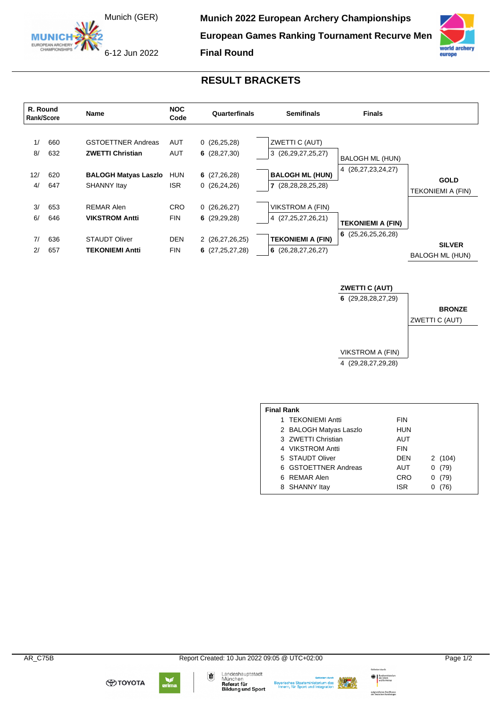Munich (GER)

**MUNICH** EUROPEAN ARCHERY **Munich 2022 European Archery Championships** 

**European Games Ranking Tournament Recurve Men**



**Final Round**



## **RESULT BRACKETS**



## **ZWETTI C (AUT)**

**6** (29,28,28,27,29)

**BRONZE** ZWETTI C (AUT)

VIKSTROM A (FIN) 4 (29,28,27,29,28)

| <b>Final Rank</b> |                        |            |           |  |  |  |
|-------------------|------------------------|------------|-----------|--|--|--|
|                   | 1 TEKONIEMI Antti      | <b>FIN</b> |           |  |  |  |
|                   | 2 BALOGH Matyas Laszlo | HUN        |           |  |  |  |
|                   | 3 ZWETTI Christian     | AUT        |           |  |  |  |
|                   | 4 VIKSTROM Antti       | <b>FIN</b> |           |  |  |  |
|                   | 5 STAUDT Oliver        | <b>DFN</b> | 2 (104)   |  |  |  |
|                   | 6 GSTOETTNER Andreas   | AUT        | (79)<br>0 |  |  |  |
|                   | 6 REMAR Alen           | CRO        | (79)<br>O |  |  |  |
|                   | 8 SHANNY Itay          | <b>ISR</b> | (76)      |  |  |  |